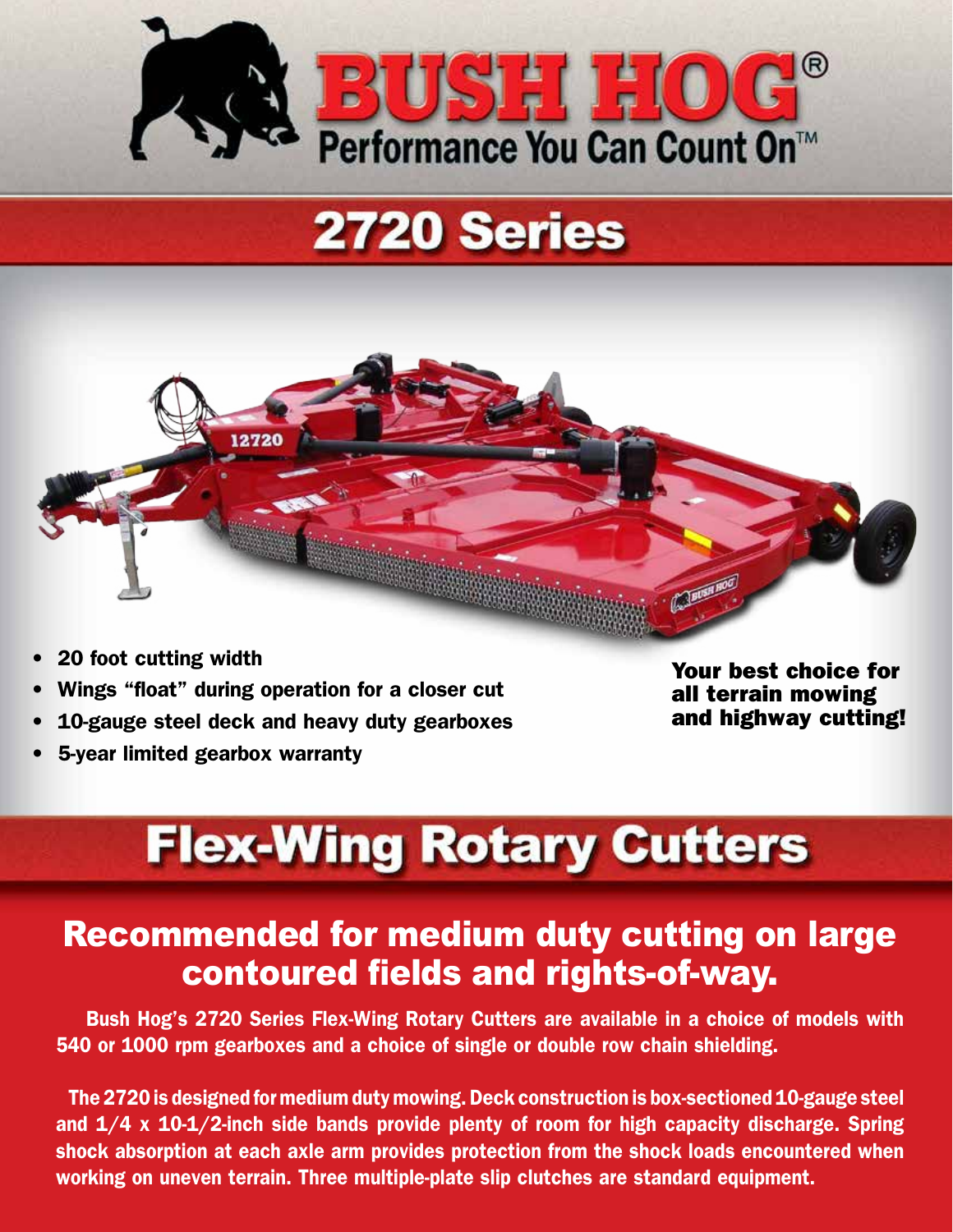

# **2720 Series**



- 20 foot cutting width
- Wings "float" during operation for a closer cut
- 10-gauge steel deck and heavy duty gearboxes
- 5-year limited gearbox warranty

Your best choice for all terrain mowing and highway cutting!

# **Flex-Wing Rotary Cutters**

### Recommended for medium duty cutting on large contoured fields and rights-of-way.

 Bush Hog's 2720 Series Flex-Wing Rotary Cutters are available in a choice of models with 540 or 1000 rpm gearboxes and a choice of single or double row chain shielding.

 The 2720 is designed for medium duty mowing. Deck construction is box-sectioned 10-gauge steel and  $1/4$  x  $10-1/2$ -inch side bands provide plenty of room for high capacity discharge. Spring shock absorption at each axle arm provides protection from the shock loads encountered when working on uneven terrain. Three multiple-plate slip clutches are standard equipment.